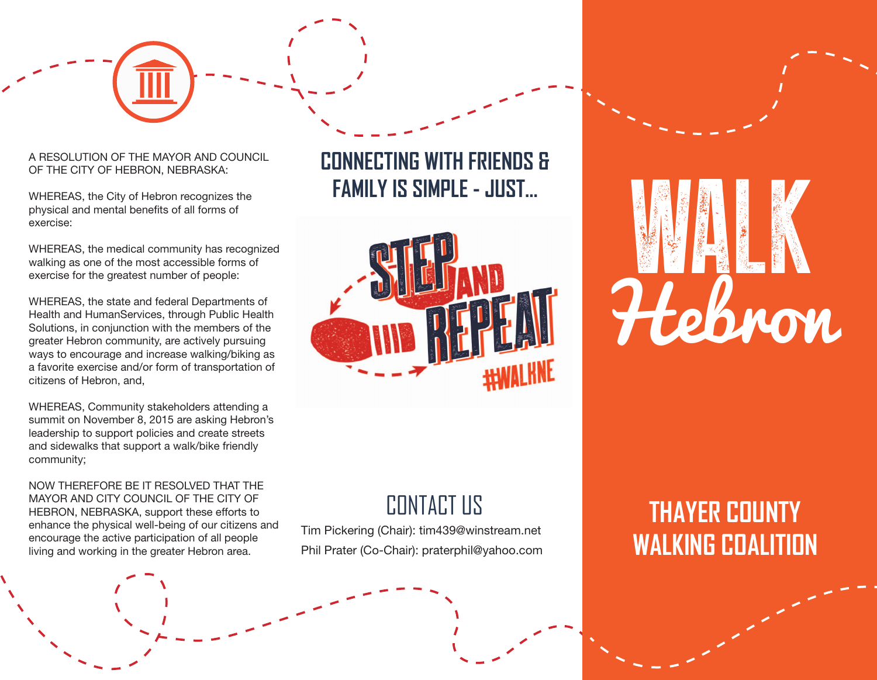#### A RESOLUTION OF THE MAYOR AND COUNCIL OF THE CITY OF HEBRON, NEBRASKA:

WHEREAS, the City of Hebron recognizes the physical and mental benefits of all forms of exercise:

WHEREAS, the medical community has recognized walking as one of the most accessible forms of exercise for the greatest number of people:

WHEREAS, the state and federal Departments of Health and HumanServices, through Public Health Solutions, in conjunction with the members of the greater Hebron community, are actively pursuing ways to encourage and increase walking/biking as a favorite exercise and/or form of transportation of citizens of Hebron, and,

WHEREAS, Community stakeholders attending a summit on November 8, 2015 are asking Hebron's leadership to support policies and create streets and sidewalks that support a walk/bike friendly community;

NOW THEREFORE BE IT RESOLVED THAT THE MAYOR AND CITY COUNCIL OF THE CITY OF HEBRON, NEBRASKA, support these efforts to enhance the physical well-being of our citizens and encourage the active participation of all people living and working in the greater Hebron area.





## CONTACT US

Tim Pickering (Chair): tim439@winstream.net Phil Prater (Co-Chair): praterphil@yahoo.com

# WALK Hebron

# **THAYER COUNTY WALKING COALITION**